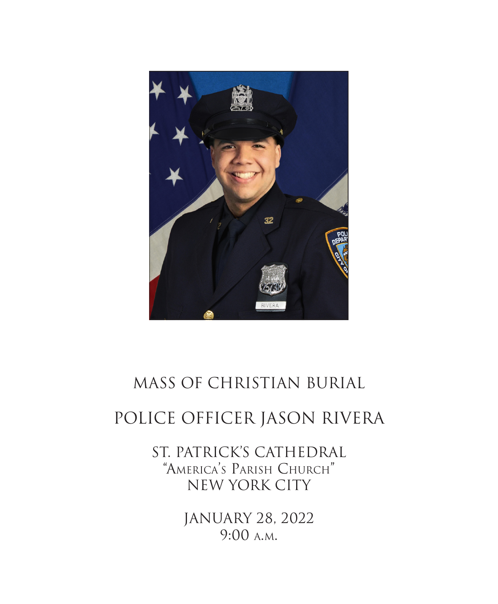

# MASS OF CHRISTIAN BURIAL

# POLICE OFFICER JASON RIVERA

ST. PATRICK'S CATHEDRAL "America's Parish Church" NEW YORK CITY

> JANUARY 28, 2022 9:00 a.m.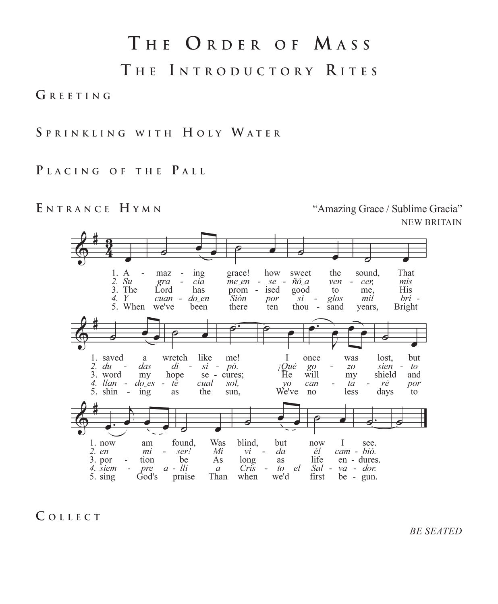# **T <sup>h</sup> e I n t r o d u <sup>c</sup> t o r y R <sup>i</sup> t e s T h e O r d e r o f M a s s**

### **G r e e t i n g**

**S p r <sup>i</sup> n k l <sup>i</sup> <sup>n</sup> <sup>g</sup> <sup>w</sup> <sup>i</sup> <sup>t</sup> h H o l y W a t e r**

### **P l a ci <sup>n</sup> <sup>g</sup> o f <sup>t</sup> <sup>h</sup> <sup>e</sup> P a l l**

ENTRANCE HYMN<br>
"Amazing Grace / Sublime Gracia" NEW BRITAIN



**C o l l e c t**

*BE SEATED*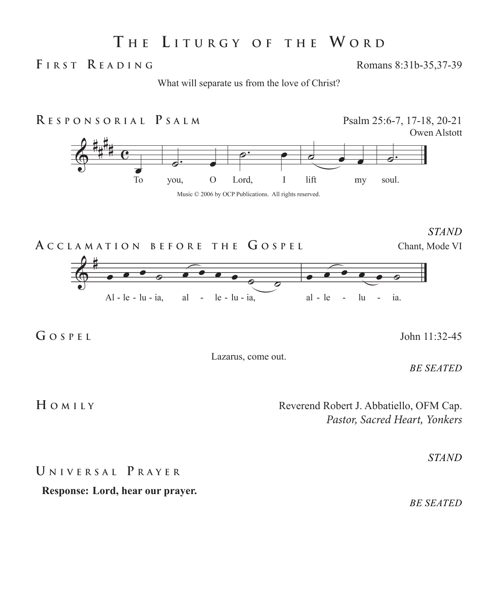## **T <sup>h</sup> <sup>e</sup> L <sup>i</sup> t u r <sup>g</sup> <sup>y</sup> o f <sup>t</sup> <sup>h</sup> <sup>e</sup> W o r d**

**F <sup>i</sup> r s t R e a d <sup>i</sup> <sup>n</sup> <sup>g</sup>** Romans 8:31b-35,37-39

What will separate us from the love of Christ?



*STAND*



**G o s p e l** John 11:32-45

Lazarus, come out.

*BE SEATED*

**H O** M I LY Reverend Robert J. Abbatiello, OFM Cap. *Pastor, Sacred Heart, Yonkers*

### **U <sup>n</sup> <sup>i</sup> v e r s a l P r a y e r**

**Response: Lord, hear our prayer.**

*BE SEATED*

*STAND*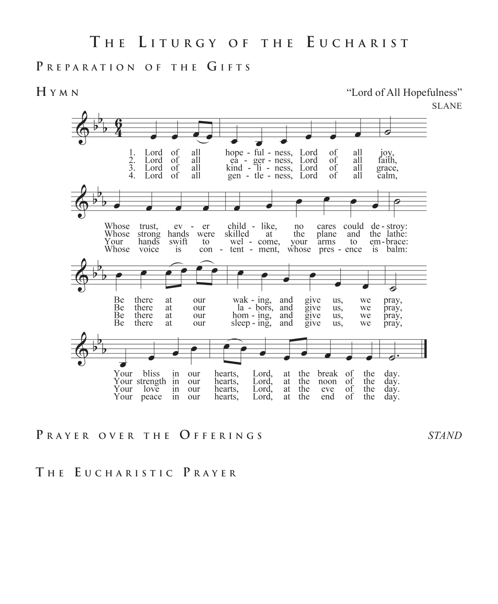### PREPARATION OF THE GIFTS

**H y m n** "Lord of All Hopefulness"



**P r a y e r o v e r <sup>t</sup> <sup>h</sup> <sup>e</sup> O f f e r <sup>i</sup> <sup>n</sup> <sup>g</sup> <sup>s</sup>** *STAND*

**T <sup>h</sup> <sup>e</sup> E <sup>u</sup> ch a r <sup>i</sup> s t ic P r a y e r**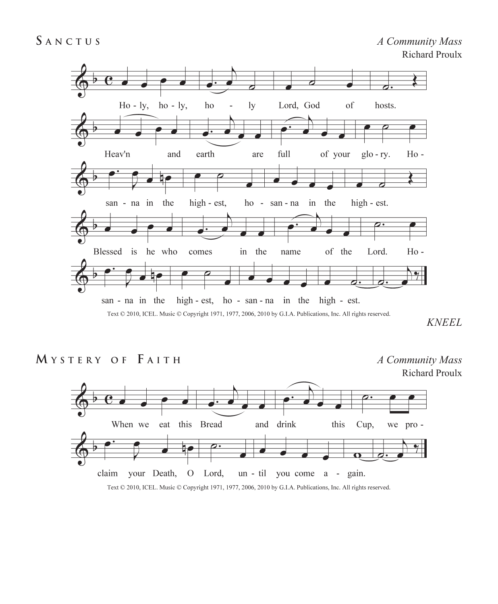

*KNEEL*

**M y s t e r y o f F <sup>a</sup> <sup>i</sup> <sup>t</sup> <sup>h</sup>** *A Community Mass*

Richard Proulx

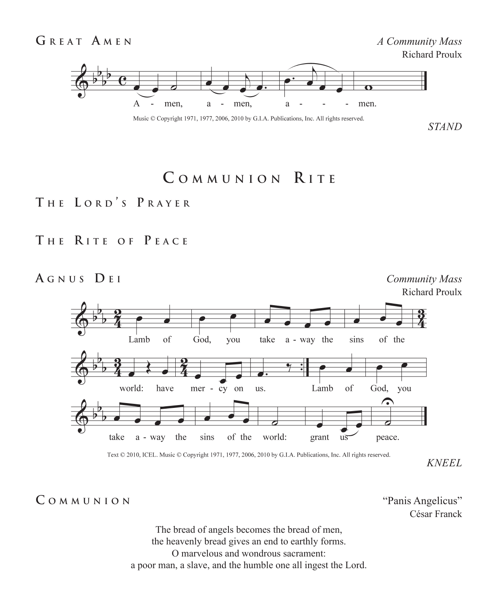

Music © Copyright 1971, 1977, 2006, 2010 by G.I.A. Publications, Inc. All rights reserved.

## **C o m m u n <sup>i</sup> o n R <sup>i</sup> t e**

### **T <sup>h</sup> <sup>e</sup> L o r d ' <sup>s</sup> P r a y e r**

## **T <sup>h</sup> <sup>e</sup> R <sup>i</sup> t e o f P e a <sup>c</sup> <sup>e</sup>**

### **A <sup>g</sup> n u s D <sup>e</sup> <sup>i</sup>** *Community Mass* Richard Proulx Lamb of God, you take a - way the sins of the world: have Lamb of God, you mer - cy on us. the sins of the world: grant  $u\overline{s}$ take a - way peace.

Text © 2010, ICEL. Music © Copyright 1971, 1977, 2006, 2010 by G.I.A. Publications, Inc. All rights reserved.

*KNEEL*

C  $\circ$  **M**  $\circ$  **N**  $\circ$  **D**  $\circ$  **W**  $\circ$  **Panis Angelicus**"

César Franck

The bread of angels becomes the bread of men, the heavenly bread gives an end to earthly forms. O marvelous and wondrous sacrament: a poor man, a slave, and the humble one all ingest the Lord.

*STAND*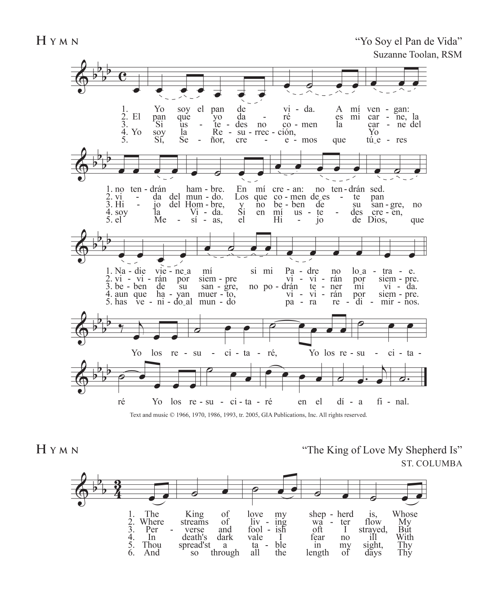

Text and music © 1966, 1970, 1986, 1993, tr. 2005, GIA Publications, Inc. All rights reserved.

**H Y M N**  $\alpha$  **W**  $\alpha$  **W**  $\beta$  **C**  $\beta$  **C**  $\alpha$  **C**  $\beta$  **C**  $\beta$  **C**  $\beta$  **C**  $\beta$  **C**  $\beta$  **C**  $\beta$  **C**  $\beta$  **C**  $\beta$  **C**  $\beta$  **C**  $\beta$  **C**  $\beta$  **C**  $\beta$  **C**  $\beta$  **C**  $\beta$  **C**  $\beta$  **C**  $\beta$  **C**  $\beta$  **C**  $\beta$  **C** ST. COLUMBA

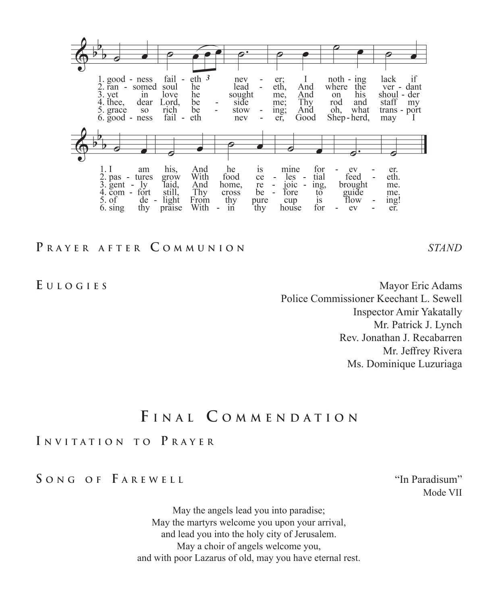

### **P r a y e r a f t e r C o m m u n <sup>i</sup> o n** *STAND*

**E u l o gi e s** Mayor Eric Adams Police Commissioner Keechant L. Sewell Inspector Amir Yakatally Mr. Patrick J. Lynch Rev. Jonathan J. Recabarren Mr. Jeffrey Rivera Ms. Dominique Luzuriaga

## **F <sup>i</sup> n a l C o m m e n d a t <sup>i</sup> o n**

### **I n v <sup>i</sup> t a t <sup>i</sup> o n t o P r a y e r**

### **S o n g o f F a r e w e l l** "In Paradisum"

Mode VII

May the angels lead you into paradise; May the martyrs welcome you upon your arrival, and lead you into the holy city of Jerusalem. May a choir of angels welcome you, and with poor Lazarus of old, may you have eternal rest.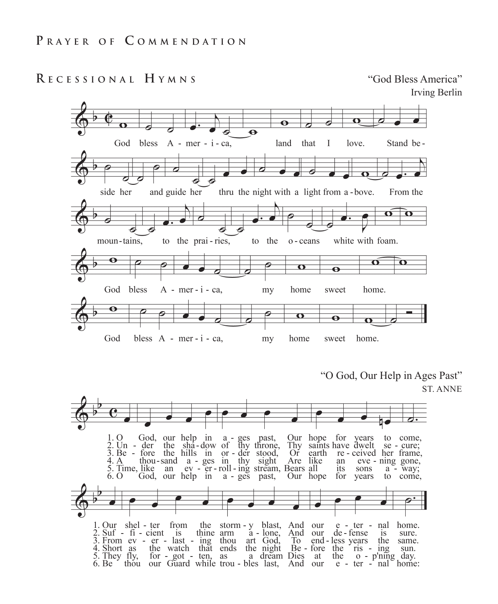**R <sup>e</sup> <sup>c</sup> e s s <sup>i</sup> o n a l H y m n s** "God Bless America"

Irving Berlin  $\overline{\mathbf{o}}$  $\overline{\mathbf{e}}$ bless  $A - mer - i - ca$ , land that Stand be-God I love. side her and guide her thru the night with a light from a-bove. From the ò moun-tains, to the prai-ries, to the o - ceans white with foam. Ò O  $\mathbf o$  $\ddot{\mathbf{e}}$ God bless  $A - mer - i - ca$ , my home sweet home. Θ 6  $\overline{\mathbf{o}}$  $\mathbf \Theta$ God bless A - mer - i - ca, my home sweet home.

"O God, Our Help in Ages Past"

ST. ANNE ă. 1. O God, our help in a - ges past,<br>2. Un - der the sha-dow of thy throne,<br>3. Be - fore the hills in or - der stood, God, our help in a - ges past,<br>der the sha-dow of thy throne, Our hope for years to come, Thy saints have dwelt  $se - cure;$ Oř earth re - ceived her frame. Are like 4. A thou-sand a - ges in thy sight an eve - ning gone, 5. Time, like an ev er roll ing stream, Bears all<br>6. O God, our help in a - ges past, Our hop its sons  $a -$  way; Our hope for years to come, 1. Our shel - ter from the storm - y blast, And our e - ter - nal home. 2. Suf - fi - circle is thine arm a - lone, And our de - ter - has sure.<br>
2. Suf - fi - cient is thine arm a - lone, And our de - tense is sure.<br>
3. From ev - er - last - ing thou art God, To end - less years the same.<br>
4.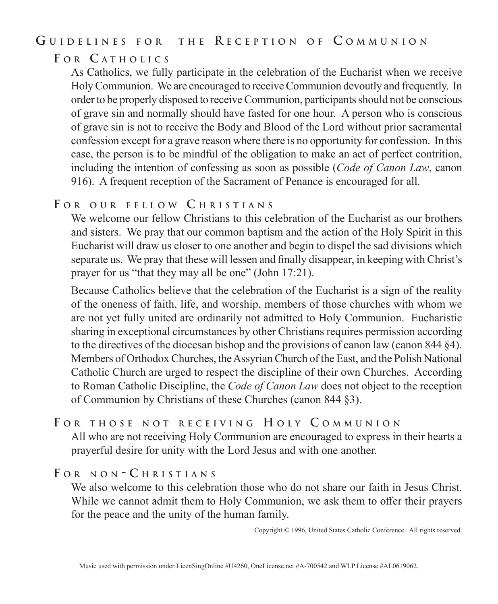### **G <sup>u</sup> <sup>i</sup> d e l <sup>i</sup> n e s f o r t <sup>h</sup> <sup>e</sup> R <sup>e</sup> <sup>c</sup> e p t <sup>i</sup> o n o f C o m m u n <sup>i</sup> o n**

### **F o r C a t <sup>h</sup> o l ic <sup>s</sup>**

As Catholics, we fully participate in the celebration of the Eucharist when we receive Holy Communion. We are encouraged to receive Communion devoutly and frequently. In order to be properly disposed to receive Communion, participants should not be conscious of grave sin and normally should have fasted for one hour. A person who is conscious of grave sin is not to receive the Body and Blood of the Lord without prior sacramental confession except for a grave reason where there is no opportunity for confession. In this case, the person is to be mindful of the obligation to make an act of perfect contrition, including the intention of confessing as soon as possible (*Code of Canon Law*, canon 916). A frequent reception of the Sacrament of Penance is encouraged for all.

### **F o r o u r f e l l o w C h r i s t i a n s**

We welcome our fellow Christians to this celebration of the Eucharist as our brothers and sisters. We pray that our common baptism and the action of the Holy Spirit in this Eucharist will draw us closer to one another and begin to dispel the sad divisions which separate us. We pray that these will lessen and finally disappear, in keeping with Christ's prayer for us "that they may all be one" (John 17:21).

Because Catholics believe that the celebration of the Eucharist is a sign of the reality of the oneness of faith, life, and worship, members of those churches with whom we are not yet fully united are ordinarily not admitted to Holy Communion. Eucharistic sharing in exceptional circumstances by other Christians requires permission according to the directives of the diocesan bishop and the provisions of canon law (canon 844 §4). Members of Orthodox Churches, the Assyrian Church of the East, and the Polish National Catholic Church are urged to respect the discipline of their own Churches. According to Roman Catholic Discipline, the *Code of Canon Law* does not object to the reception of Communion by Christians of these Churches (canon 844 §3).

### **F o r t h o s e n o t r e c e i v i n g H o l y C o m m u n i o n**

All who are not receiving Holy Communion are encouraged to express in their hearts a prayerful desire for unity with the Lord Jesus and with one another.

### **F o r n o n - C h r i s t i a n s**

We also welcome to this celebration those who do not share our faith in Jesus Christ. While we cannot admit them to Holy Communion, we ask them to offer their prayers for the peace and the unity of the human family.

Copyright © 1996, United States Catholic Conference. All rights reserved.